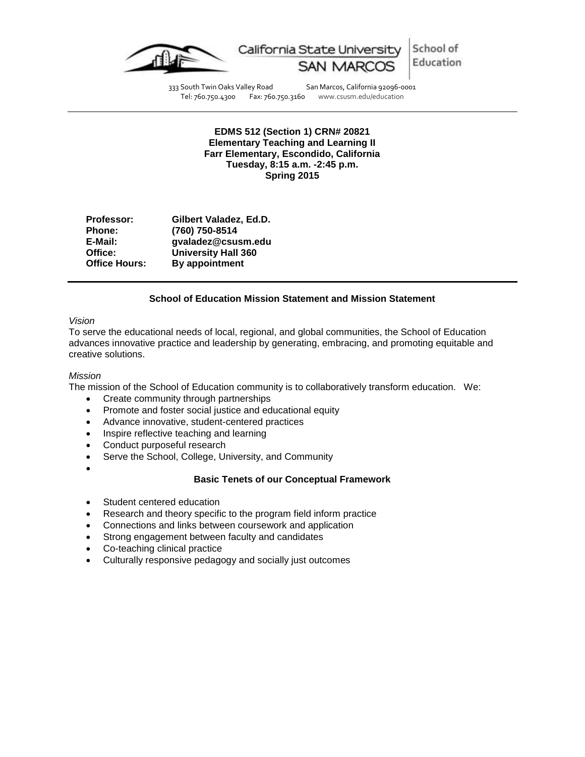

School of California State University Education

333 South Twin Oaks Valley Road San Marcos, California 92096-0001<br>Tel: 760.750.4300 Fax: 760.750.3160 www.csusm.edu/education Tel: 760.750.4300 Fax: 760.750.3160 www.csusm.edu/education

**EDMS 512 (Section 1) CRN# 20821 Elementary Teaching and Learning II Farr Elementary, Escondido, California Tuesday, 8:15 a.m. -2:45 p.m. Spring 2015**

| <b>Professor:</b>    | Gilbert Valadez, Ed.D.     |
|----------------------|----------------------------|
| <b>Phone:</b>        | (760) 750-8514             |
| E-Mail:              | gvaladez@csusm.edu         |
| Office:              | <b>University Hall 360</b> |
| <b>Office Hours:</b> | By appointment             |

# **School of Education Mission Statement and Mission Statement**

### *Vision*

To serve the educational needs of local, regional, and global communities, the School of Education advances innovative practice and leadership by generating, embracing, and promoting equitable and creative solutions.

### *Mission*

The mission of the School of Education community is to collaboratively transform education. We:

- Create community through partnerships
- Promote and foster social justice and educational equity
- Advance innovative, student-centered practices
- Inspire reflective teaching and learning
- Conduct purposeful research
- Serve the School, College, University, and Community
- $\bullet$

### **Basic Tenets of our Conceptual Framework**

- Student centered education
- Research and theory specific to the program field inform practice
- Connections and links between coursework and application
- Strong engagement between faculty and candidates
- Co-teaching clinical practice
- Culturally responsive pedagogy and socially just outcomes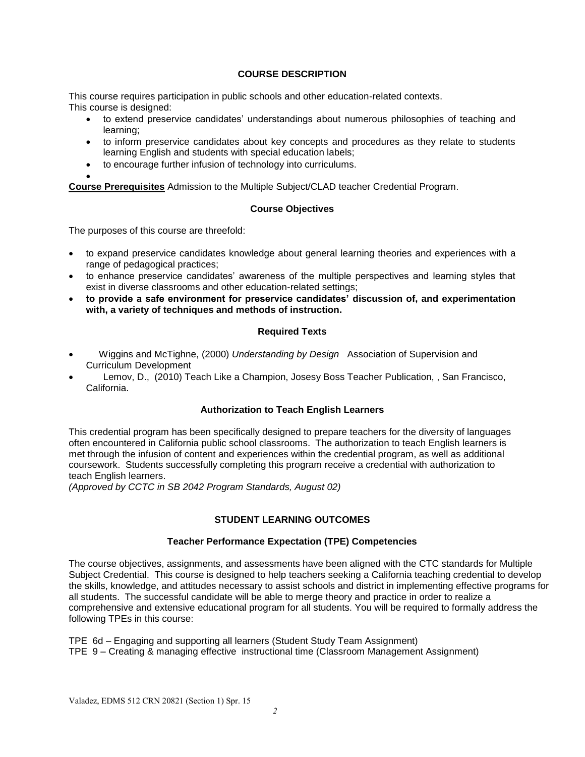# **COURSE DESCRIPTION**

This course requires participation in public schools and other education-related contexts. This course is designed:

- to extend preservice candidates' understandings about numerous philosophies of teaching and learning;
- to inform preservice candidates about key concepts and procedures as they relate to students learning English and students with special education labels;
- to encourage further infusion of technology into curriculums.

 $\bullet$ **Course Prerequisites** Admission to the Multiple Subject/CLAD teacher Credential Program.

# **Course Objectives**

The purposes of this course are threefold:

- to expand preservice candidates knowledge about general learning theories and experiences with a range of pedagogical practices;
- to enhance preservice candidates' awareness of the multiple perspectives and learning styles that exist in diverse classrooms and other education-related settings;
- **to provide a safe environment for preservice candidates' discussion of, and experimentation with, a variety of techniques and methods of instruction.**

# **Required Texts**

- Wiggins and McTighne, (2000) *Understanding by Design* Association of Supervision and Curriculum Development
- Lemov, D., (2010) Teach Like a Champion, Josesy Boss Teacher Publication, , San Francisco, California.

# **Authorization to Teach English Learners**

This credential program has been specifically designed to prepare teachers for the diversity of languages often encountered in California public school classrooms. The authorization to teach English learners is met through the infusion of content and experiences within the credential program, as well as additional coursework. Students successfully completing this program receive a credential with authorization to teach English learners.

*(Approved by CCTC in SB 2042 Program Standards, August 02)*

# **STUDENT LEARNING OUTCOMES**

### **Teacher Performance Expectation (TPE) Competencies**

The course objectives, assignments, and assessments have been aligned with the CTC standards for Multiple Subject Credential. This course is designed to help teachers seeking a California teaching credential to develop the skills, knowledge, and attitudes necessary to assist schools and district in implementing effective programs for all students. The successful candidate will be able to merge theory and practice in order to realize a comprehensive and extensive educational program for all students. You will be required to formally address the following TPEs in this course:

TPE 6d – Engaging and supporting all learners (Student Study Team Assignment)

TPE 9 – Creating & managing effective instructional time (Classroom Management Assignment)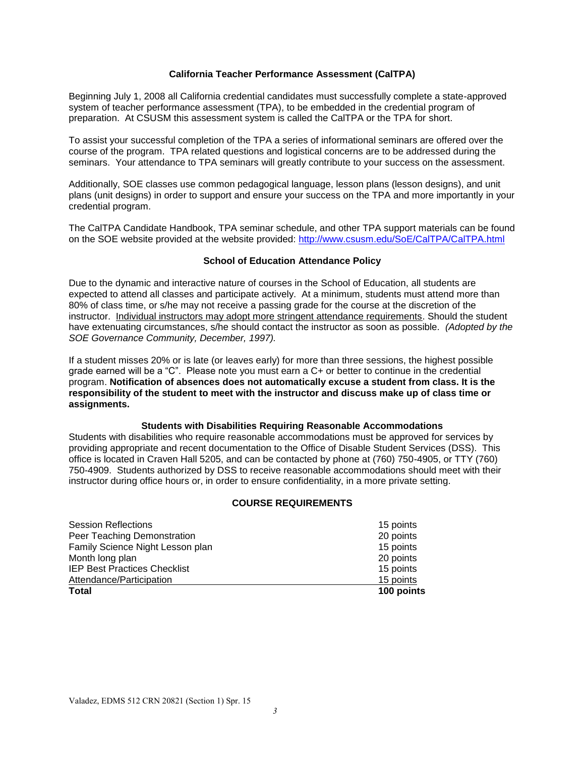# **California Teacher Performance Assessment (CalTPA)**

Beginning July 1, 2008 all California credential candidates must successfully complete a state-approved system of teacher performance assessment (TPA), to be embedded in the credential program of preparation. At CSUSM this assessment system is called the CalTPA or the TPA for short.

To assist your successful completion of the TPA a series of informational seminars are offered over the course of the program. TPA related questions and logistical concerns are to be addressed during the seminars. Your attendance to TPA seminars will greatly contribute to your success on the assessment.

Additionally, SOE classes use common pedagogical language, lesson plans (lesson designs), and unit plans (unit designs) in order to support and ensure your success on the TPA and more importantly in your credential program.

The CalTPA Candidate Handbook, TPA seminar schedule, and other TPA support materials can be found on the SOE website provided at the website provided: [http://www.csusm.edu/SoE/CalTPA/CalTPA.html](http://www.csusm.edu/coe/CalTPA/CalTPA.html)

# **School of Education Attendance Policy**

Due to the dynamic and interactive nature of courses in the School of Education, all students are expected to attend all classes and participate actively. At a minimum, students must attend more than 80% of class time, or s/he may not receive a passing grade for the course at the discretion of the instructor. Individual instructors may adopt more stringent attendance requirements. Should the student have extenuating circumstances, s/he should contact the instructor as soon as possible. *(Adopted by the SOE Governance Community, December, 1997).*

If a student misses 20% or is late (or leaves early) for more than three sessions, the highest possible grade earned will be a "C". Please note you must earn a C+ or better to continue in the credential program. **Notification of absences does not automatically excuse a student from class. It is the responsibility of the student to meet with the instructor and discuss make up of class time or assignments.**

### **Students with Disabilities Requiring Reasonable Accommodations**

Students with disabilities who require reasonable accommodations must be approved for services by providing appropriate and recent documentation to the Office of Disable Student Services (DSS). This office is located in Craven Hall 5205, and can be contacted by phone at (760) 750-4905, or TTY (760) 750-4909. Students authorized by DSS to receive reasonable accommodations should meet with their instructor during office hours or, in order to ensure confidentiality, in a more private setting.

### **COURSE REQUIREMENTS**

| <b>Total</b>                        | 100 points |
|-------------------------------------|------------|
| Attendance/Participation            | 15 points  |
| <b>IEP Best Practices Checklist</b> | 15 points  |
| Month long plan                     | 20 points  |
| Family Science Night Lesson plan    | 15 points  |
| Peer Teaching Demonstration         | 20 points  |
| <b>Session Reflections</b>          | 15 points  |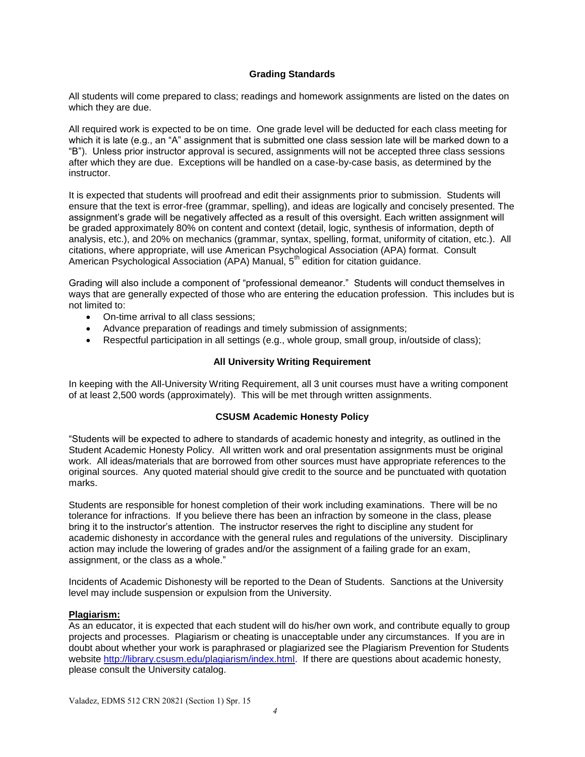### **Grading Standards**

All students will come prepared to class; readings and homework assignments are listed on the dates on which they are due.

All required work is expected to be on time. One grade level will be deducted for each class meeting for which it is late (e.g., an "A" assignment that is submitted one class session late will be marked down to a "B"). Unless prior instructor approval is secured, assignments will not be accepted three class sessions after which they are due. Exceptions will be handled on a case-by-case basis, as determined by the instructor.

It is expected that students will proofread and edit their assignments prior to submission. Students will ensure that the text is error-free (grammar, spelling), and ideas are logically and concisely presented. The assignment's grade will be negatively affected as a result of this oversight. Each written assignment will be graded approximately 80% on content and context (detail, logic, synthesis of information, depth of analysis, etc.), and 20% on mechanics (grammar, syntax, spelling, format, uniformity of citation, etc.). All citations, where appropriate, will use American Psychological Association (APA) format. Consult American Psychological Association (APA) Manual, 5<sup>th</sup> edition for citation guidance.

Grading will also include a component of "professional demeanor." Students will conduct themselves in ways that are generally expected of those who are entering the education profession. This includes but is not limited to:

- On-time arrival to all class sessions;
- Advance preparation of readings and timely submission of assignments;
- Respectful participation in all settings (e.g., whole group, small group, in/outside of class);

# **All University Writing Requirement**

In keeping with the All-University Writing Requirement, all 3 unit courses must have a writing component of at least 2,500 words (approximately). This will be met through written assignments.

### **CSUSM Academic Honesty Policy**

"Students will be expected to adhere to standards of academic honesty and integrity, as outlined in the Student Academic Honesty Policy. All written work and oral presentation assignments must be original work. All ideas/materials that are borrowed from other sources must have appropriate references to the original sources. Any quoted material should give credit to the source and be punctuated with quotation marks.

Students are responsible for honest completion of their work including examinations. There will be no tolerance for infractions. If you believe there has been an infraction by someone in the class, please bring it to the instructor's attention. The instructor reserves the right to discipline any student for academic dishonesty in accordance with the general rules and regulations of the university. Disciplinary action may include the lowering of grades and/or the assignment of a failing grade for an exam, assignment, or the class as a whole."

Incidents of Academic Dishonesty will be reported to the Dean of Students. Sanctions at the University level may include suspension or expulsion from the University.

### **Plagiarism:**

As an educator, it is expected that each student will do his/her own work, and contribute equally to group projects and processes. Plagiarism or cheating is unacceptable under any circumstances. If you are in doubt about whether your work is paraphrased or plagiarized see the Plagiarism Prevention for Students website [http://library.csusm.edu/plagiarism/index.html.](http://library.csusm.edu/plagiarism/index.html) If there are questions about academic honesty, please consult the University catalog.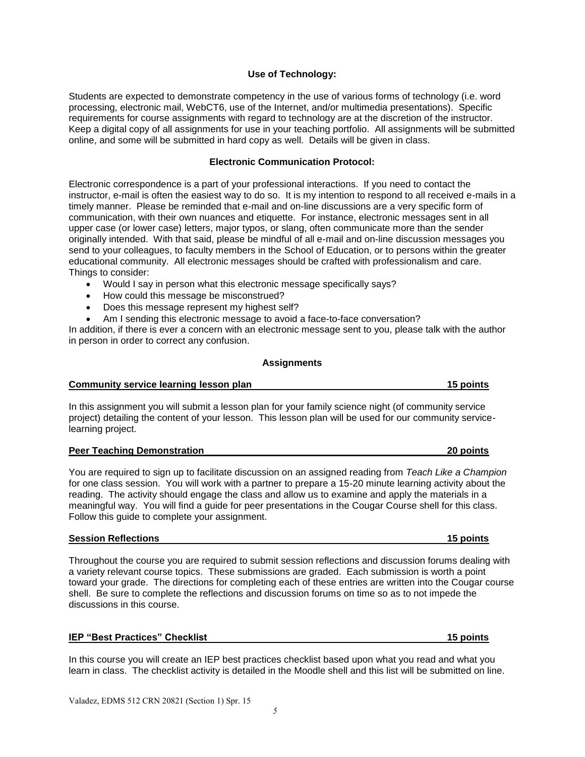# **Use of Technology:**

Students are expected to demonstrate competency in the use of various forms of technology (i.e. word processing, electronic mail, WebCT6, use of the Internet, and/or multimedia presentations). Specific requirements for course assignments with regard to technology are at the discretion of the instructor. Keep a digital copy of all assignments for use in your teaching portfolio. All assignments will be submitted online, and some will be submitted in hard copy as well. Details will be given in class.

# **Electronic Communication Protocol:**

Electronic correspondence is a part of your professional interactions. If you need to contact the instructor, e-mail is often the easiest way to do so. It is my intention to respond to all received e-mails in a timely manner. Please be reminded that e-mail and on-line discussions are a very specific form of communication, with their own nuances and etiquette. For instance, electronic messages sent in all upper case (or lower case) letters, major typos, or slang, often communicate more than the sender originally intended. With that said, please be mindful of all e-mail and on-line discussion messages you send to your colleagues, to faculty members in the School of Education, or to persons within the greater educational community. All electronic messages should be crafted with professionalism and care. Things to consider:

- Would I say in person what this electronic message specifically says?
- How could this message be misconstrued?
- Does this message represent my highest self?
- Am I sending this electronic message to avoid a face-to-face conversation?

In addition, if there is ever a concern with an electronic message sent to you, please talk with the author in person in order to correct any confusion.

### **Assignments**

# **Community service learning lesson plan 15 points**

In this assignment you will submit a lesson plan for your family science night (of community service project) detailing the content of your lesson. This lesson plan will be used for our community servicelearning project.

### **Peer Teaching Demonstration 20 points**

You are required to sign up to facilitate discussion on an assigned reading from *Teach Like a Champion* for one class session. You will work with a partner to prepare a 15-20 minute learning activity about the reading. The activity should engage the class and allow us to examine and apply the materials in a meaningful way. You will find a guide for peer presentations in the Cougar Course shell for this class. Follow this guide to complete your assignment.

# **Session Reflections 15 points**

Throughout the course you are required to submit session reflections and discussion forums dealing with a variety relevant course topics. These submissions are graded. Each submission is worth a point toward your grade. The directions for completing each of these entries are written into the Cougar course shell. Be sure to complete the reflections and discussion forums on time so as to not impede the discussions in this course.

### **IEP "Best Practices" Checklist 15 points**

In this course you will create an IEP best practices checklist based upon what you read and what you learn in class. The checklist activity is detailed in the Moodle shell and this list will be submitted on line.

*5*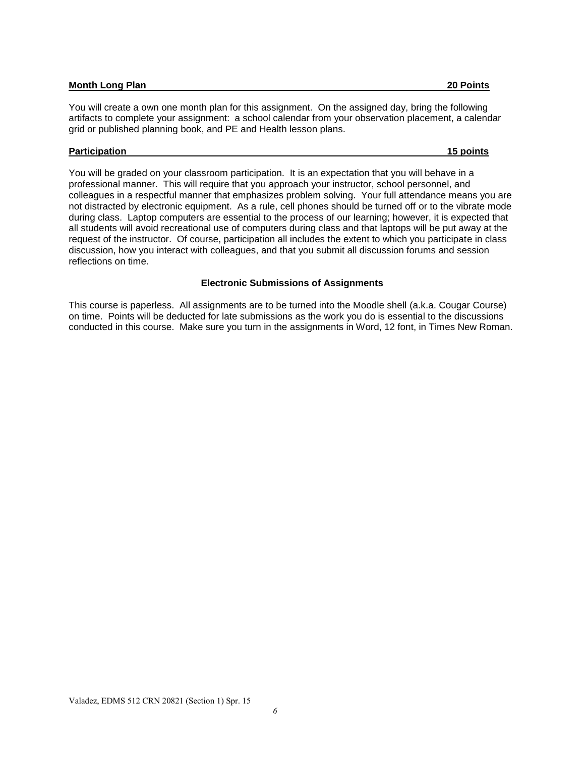### **Month Long Plan 20 Points**

You will create a own one month plan for this assignment. On the assigned day, bring the following artifacts to complete your assignment: a school calendar from your observation placement, a calendar grid or published planning book, and PE and Health lesson plans.

### **Participation 15 points**

You will be graded on your classroom participation. It is an expectation that you will behave in a professional manner. This will require that you approach your instructor, school personnel, and colleagues in a respectful manner that emphasizes problem solving. Your full attendance means you are not distracted by electronic equipment. As a rule, cell phones should be turned off or to the vibrate mode during class. Laptop computers are essential to the process of our learning; however, it is expected that all students will avoid recreational use of computers during class and that laptops will be put away at the request of the instructor. Of course, participation all includes the extent to which you participate in class discussion, how you interact with colleagues, and that you submit all discussion forums and session reflections on time.

### **Electronic Submissions of Assignments**

This course is paperless. All assignments are to be turned into the Moodle shell (a.k.a. Cougar Course) on time. Points will be deducted for late submissions as the work you do is essential to the discussions conducted in this course. Make sure you turn in the assignments in Word, 12 font, in Times New Roman.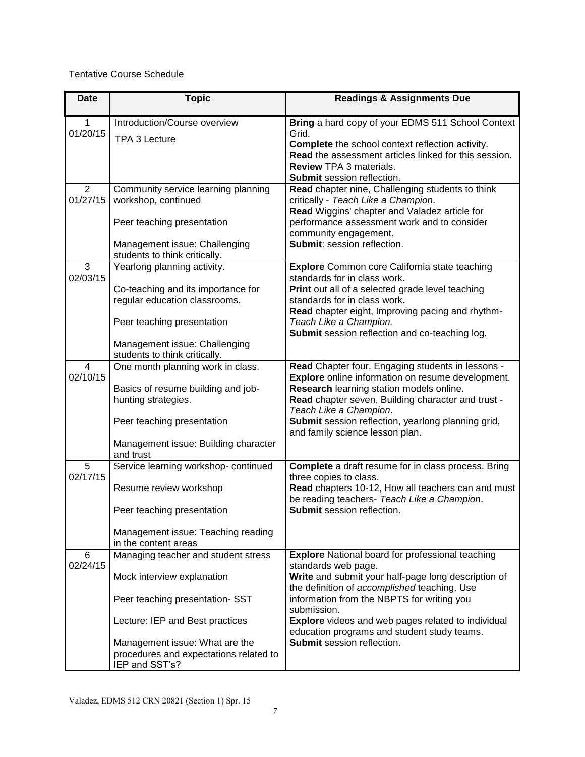# Tentative Course Schedule

| <b>Date</b>   | <b>Topic</b>                                                                                                                                                                                                                          | <b>Readings &amp; Assignments Due</b>                                                                                                                                                                                                                                                                                                                                                 |
|---------------|---------------------------------------------------------------------------------------------------------------------------------------------------------------------------------------------------------------------------------------|---------------------------------------------------------------------------------------------------------------------------------------------------------------------------------------------------------------------------------------------------------------------------------------------------------------------------------------------------------------------------------------|
| 1<br>01/20/15 | Introduction/Course overview<br>TPA 3 Lecture                                                                                                                                                                                         | Bring a hard copy of your EDMS 511 School Context<br>Grid.<br><b>Complete</b> the school context reflection activity.<br>Read the assessment articles linked for this session.<br><b>Review TPA 3 materials.</b><br><b>Submit session reflection.</b>                                                                                                                                 |
| 2<br>01/27/15 | Community service learning planning<br>workshop, continued<br>Peer teaching presentation<br>Management issue: Challenging<br>students to think critically.                                                                            | Read chapter nine, Challenging students to think<br>critically - Teach Like a Champion.<br>Read Wiggins' chapter and Valadez article for<br>performance assessment work and to consider<br>community engagement.<br>Submit: session reflection.                                                                                                                                       |
| 3<br>02/03/15 | Yearlong planning activity.<br>Co-teaching and its importance for<br>regular education classrooms.<br>Peer teaching presentation<br>Management issue: Challenging<br>students to think critically.                                    | <b>Explore</b> Common core California state teaching<br>standards for in class work.<br>Print out all of a selected grade level teaching<br>standards for in class work.<br>Read chapter eight, Improving pacing and rhythm-<br>Teach Like a Champion.<br>Submit session reflection and co-teaching log.                                                                              |
| 4<br>02/10/15 | One month planning work in class.<br>Basics of resume building and job-<br>hunting strategies.<br>Peer teaching presentation<br>Management issue: Building character<br>and trust                                                     | Read Chapter four, Engaging students in lessons -<br>Explore online information on resume development.<br>Research learning station models online.<br>Read chapter seven, Building character and trust -<br>Teach Like a Champion.<br>Submit session reflection, yearlong planning grid,<br>and family science lesson plan.                                                           |
| 5<br>02/17/15 | Service learning workshop- continued<br>Resume review workshop<br>Peer teaching presentation<br>Management issue: Teaching reading<br>in the content areas                                                                            | <b>Complete</b> a draft resume for in class process. Bring<br>three copies to class.<br>Read chapters 10-12, How all teachers can and must<br>be reading teachers- Teach Like a Champion.<br><b>Submit session reflection.</b>                                                                                                                                                        |
| 6<br>02/24/15 | Managing teacher and student stress<br>Mock interview explanation<br>Peer teaching presentation- SST<br>Lecture: IEP and Best practices<br>Management issue: What are the<br>procedures and expectations related to<br>IEP and SST's? | <b>Explore</b> National board for professional teaching<br>standards web page.<br>Write and submit your half-page long description of<br>the definition of accomplished teaching. Use<br>information from the NBPTS for writing you<br>submission.<br>Explore videos and web pages related to individual<br>education programs and student study teams.<br>Submit session reflection. |